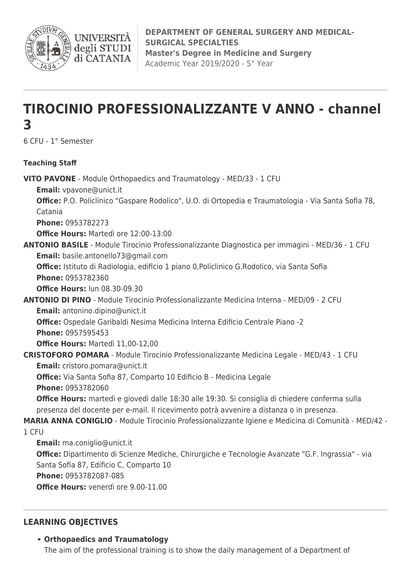

**UNIVERSITÀ** degli STUDI di CATANIA

# **TIROCINIO PROFESSIONALIZZANTE V ANNO - channel 3**

6 CFU - 1° Semester

## **Teaching Staff**

**VITO PAVONE** - Module Orthopaedics and Traumatology - MED/33 - 1 CFU **Email:** [vpavone@unict.it](mailto:vpavone@unict.it) **Office:** P.O. Policlinico "Gaspare Rodolico", U.O. di Ortopedia e Traumatologia - Via Santa Sofia 78, Catania **Phone:** 0953782273 **Office Hours:** Martedì ore 12:00-13:00 **ANTONIO BASILE** - Module Tirocinio Professionalizzante Diagnostica per immagini - MED/36 - 1 CFU **Email:** [basile.antonello73@gmail.com](mailto:basile.antonello73@gmail.com) **Office:** Istituto di Radiologia, edificio 1 piano 0,Policlinico G.Rodolico, via Santa Sofia **Phone:** 0953782360 **Office Hours:** lun 08.30-09.30 **ANTONIO DI PINO** - Module Tirocinio Professionalizzante Medicina Interna - MED/09 - 2 CFU **Email:** [antonino.dipino@unict.it](mailto:antonino.dipino@unict.it) **Office:** Ospedale Garibaldi Nesima Medicina Interna Edificio Centrale Piano -2 **Phone:** 0957595453 **Office Hours:** Martedì 11,00-12,00 **CRISTOFORO POMARA** - Module Tirocinio Professionalizzante Medicina Legale - MED/43 - 1 CFU **Email:** [cristoro.pomara@unict.it](mailto:cristoro.pomara@unict.it) **Office:** Via Santa Sofia 87, Comparto 10 Edificio B - Medicina Legale **Phone:** 0953782060 **Office Hours:** martedì e giovedì dalle 18:30 alle 19:30. Si consiglia di chiedere conferma sulla presenza del docente per e-mail. Il ricevimento potrà avvenire a distanza o in presenza. **MARIA ANNA CONIGLIO** - Module Tirocinio Professionalizzante Igiene e Medicina di Comunità - MED/42 - 1 CFU **Email:** [ma.coniglio@unict.it](mailto:ma.coniglio@unict.it) **Office:** Dipartimento di Scienze Mediche, Chirurgiche e Tecnologie Avanzate "G.F. Ingrassia" - via Santa Sofia 87, Edificio C, Comparto 10 **Phone:** 0953782087-085 **Office Hours:** venerdì ore 9.00-11.00

## **LEARNING OBJECTIVES**

## **Orthopaedics and Traumatology**

The aim of the professional training is to show the daily management of a Department of